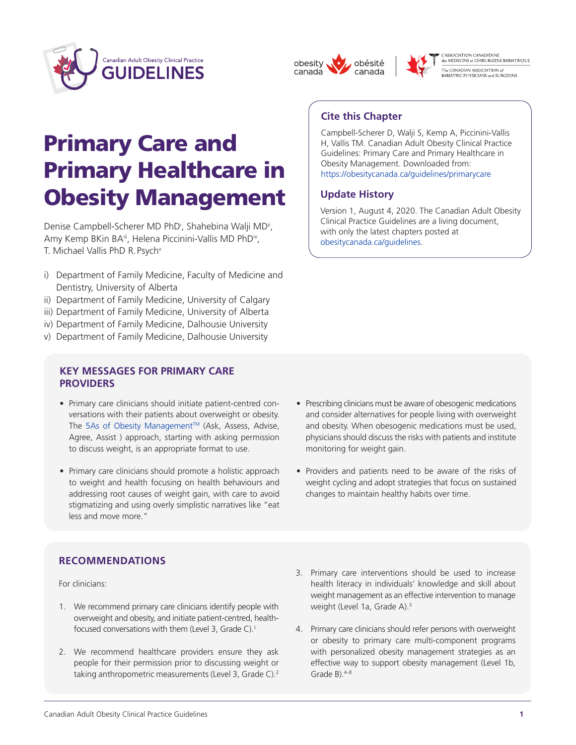





L'ASSOCIATION CANADIENNE<br>des MEDECINS et CHIRURGIENS BARIATRIQUE -<br>The CANADIAN ASSOCIATION of<br>BARIATRIC PHYSICIANS and SURGEONS

# Primary Care and Primary Healthcare in Obesity Management

Denise Campbell-Scherer MD PhD<sup>i</sup>, Shahebina Walji MD<sup>ii</sup>, Amy Kemp BKin BA<sup>iii</sup>, Helena Piccinini-Vallis MD PhD<sup>iv</sup>, T. Michael Vallis PhD R. Psych<sup>v</sup>

- i) Department of Family Medicine, Faculty of Medicine and Dentistry, University of Alberta
- ii) Department of Family Medicine, University of Calgary
- iii) Department of Family Medicine, University of Alberta
- iv) Department of Family Medicine, Dalhousie University
- v) Department of Family Medicine, Dalhousie University

#### **KEY MESSAGES FOR PRIMARY CARE PROVIDERS**

- Primary care clinicians should initiate patient-centred conversations with their patients about overweight or obesity. The 5As of Obesity Management™ (Ask, Assess, Advise, Agree, Assist ) approach, starting with asking permission to discuss weight, is an appropriate format to use.
- Primary care clinicians should promote a holistic approach to weight and health focusing on health behaviours and addressing root causes of weight gain, with care to avoid stigmatizing and using overly simplistic narratives like "eat less and move more."

## **Cite this Chapter**

Campbell-Scherer D, Walji S, Kemp A, Piccinini-Vallis H, Vallis TM. Canadian Adult Obesity Clinical Practice Guidelines: Primary Care and Primary Healthcare in Obesity Management. Downloaded from: [https://obesitycanada.ca/guidelines/primarycare](https://obesitycanada.ca/guidelines/primarycare/)

## **Update History**

Version 1, August 4, 2020. The Canadian Adult Obesity Clinical Practice Guidelines are a living document, with only the latest chapters posted at [obesitycanada.ca/guidelines.](https://obesitycanada.ca/guidelines/)

- Prescribing clinicians must be aware of obesogenic medications and consider alternatives for people living with overweight and obesity. When obesogenic medications must be used, physicians should discuss the risks with patients and institute monitoring for weight gain.
- Providers and patients need to be aware of the risks of weight cycling and adopt strategies that focus on sustained changes to maintain healthy habits over time.

## **RECOMMENDATIONS**

For clinicians:

- 1. We recommend primary care clinicians identify people with overweight and obesity, and initiate patient-centred, healthfocused conversations with them (Level 3, Grade C).1
- 2. We recommend healthcare providers ensure they ask people for their permission prior to discussing weight or taking anthropometric measurements (Level 3, Grade C).<sup>2</sup>
- 3. Primary care interventions should be used to increase health literacy in individuals' knowledge and skill about weight management as an effective intervention to manage weight (Level 1a, Grade A).3
- 4. Primary care clinicians should refer persons with overweight or obesity to primary care multi-component programs with personalized obesity management strategies as an effective way to support obesity management (Level 1b, Grade  $B$ ).  $4-8$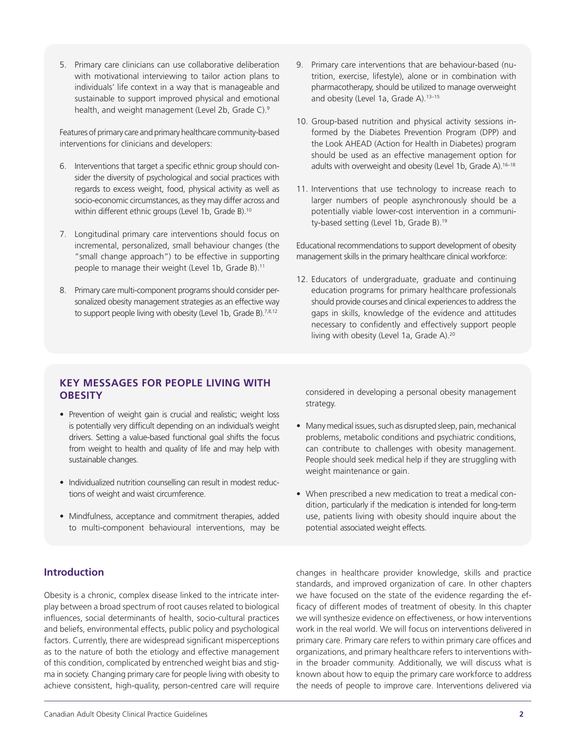5. Primary care clinicians can use collaborative deliberation with motivational interviewing to tailor action plans to individuals' life context in a way that is manageable and sustainable to support improved physical and emotional health, and weight management (Level 2b, Grade C).<sup>9</sup>

Features of primary care and primary healthcare community-based interventions for clinicians and developers:

- 6. Interventions that target a specific ethnic group should consider the diversity of psychological and social practices with regards to excess weight, food, physical activity as well as socio-economic circumstances, as they may differ across and within different ethnic groups (Level 1b, Grade B).<sup>10</sup>
- 7. Longitudinal primary care interventions should focus on incremental, personalized, small behaviour changes (the "small change approach") to be effective in supporting people to manage their weight (Level 1b, Grade B).<sup>11</sup>
- 8. Primary care multi-component programs should consider personalized obesity management strategies as an effective way to support people living with obesity (Level 1b, Grade B).<sup>7,8,12</sup>
- 9. Primary care interventions that are behaviour-based (nutrition, exercise, lifestyle), alone or in combination with pharmacotherapy, should be utilized to manage overweight and obesity (Level 1a, Grade A).<sup>13-15</sup>
- 10. Group-based nutrition and physical activity sessions informed by the Diabetes Prevention Program (DPP) and the Look AHEAD (Action for Health in Diabetes) program should be used as an effective management option for adults with overweight and obesity (Level 1b, Grade A).<sup>16-18</sup>
- 11. Interventions that use technology to increase reach to larger numbers of people asynchronously should be a potentially viable lower-cost intervention in a community-based setting (Level 1b, Grade B).<sup>19</sup>

Educational recommendations to support development of obesity management skills in the primary healthcare clinical workforce:

12. Educators of undergraduate, graduate and continuing education programs for primary healthcare professionals should provide courses and clinical experiences to address the gaps in skills, knowledge of the evidence and attitudes necessary to confidently and effectively support people living with obesity (Level 1a, Grade A).<sup>20</sup>

## **KEY MESSAGES FOR PEOPLE LIVING WITH OBESITY**

- Prevention of weight gain is crucial and realistic; weight loss is potentially very difficult depending on an individual's weight drivers. Setting a value-based functional goal shifts the focus from weight to health and quality of life and may help with sustainable changes.
- Individualized nutrition counselling can result in modest reductions of weight and waist circumference.
- Mindfulness, acceptance and commitment therapies, added to multi-component behavioural interventions, may be

considered in developing a personal obesity management strategy.

- Many medical issues, such as disrupted sleep, pain, mechanical problems, metabolic conditions and psychiatric conditions, can contribute to challenges with obesity management. People should seek medical help if they are struggling with weight maintenance or gain.
- When prescribed a new medication to treat a medical condition, particularly if the medication is intended for long-term use, patients living with obesity should inquire about the potential associated weight effects.

## **Introduction**

Obesity is a chronic, complex disease linked to the intricate interplay between a broad spectrum of root causes related to biological influences, social determinants of health, socio-cultural practices and beliefs, environmental effects, public policy and psychological factors. Currently, there are widespread significant misperceptions as to the nature of both the etiology and effective management of this condition, complicated by entrenched weight bias and stigma in society. Changing primary care for people living with obesity to achieve consistent, high-quality, person-centred care will require

changes in healthcare provider knowledge, skills and practice standards, and improved organization of care. In other chapters we have focused on the state of the evidence regarding the efficacy of different modes of treatment of obesity. In this chapter we will synthesize evidence on effectiveness, or how interventions work in the real world. We will focus on interventions delivered in primary care. Primary care refers to within primary care offices and organizations, and primary healthcare refers to interventions within the broader community. Additionally, we will discuss what is known about how to equip the primary care workforce to address the needs of people to improve care. Interventions delivered via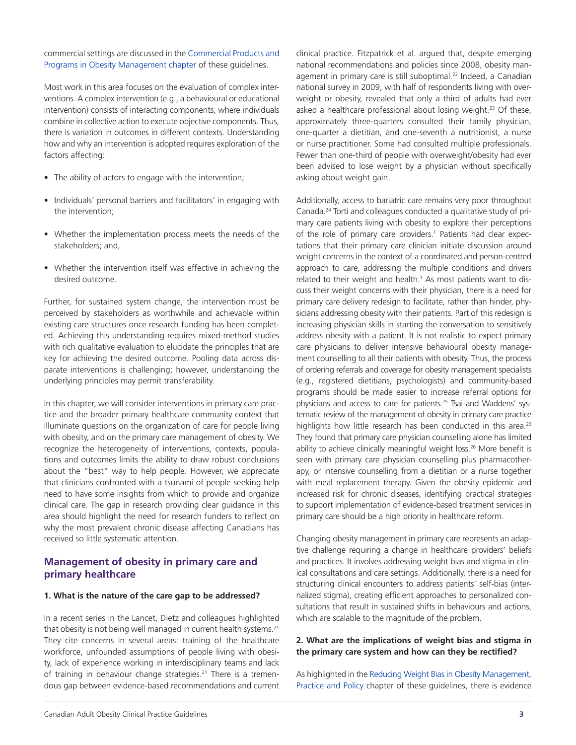#### commercial settings are discussed in the [Commercial](https://obesitycanada.ca/guidelines/commercialproducts/) Products and Programs in Obesity [Management](https://obesitycanada.ca/guidelines/commercialproducts/) chapter of these guidelines.

Most work in this area focuses on the evaluation of complex interventions. A complex intervention (e.g., a behavioural or educational intervention) consists of interacting components, where individuals combine in collective action to execute objective components. Thus, there is variation in outcomes in different contexts. Understanding how and why an intervention is adopted requires exploration of the factors affecting:

- The ability of actors to engage with the intervention;
- Individuals' personal barriers and facilitators' in engaging with the intervention;
- Whether the implementation process meets the needs of the stakeholders; and,
- Whether the intervention itself was effective in achieving the desired outcome.

Further, for sustained system change, the intervention must be perceived by stakeholders as worthwhile and achievable within existing care structures once research funding has been completed. Achieving this understanding requires mixed-method studies with rich qualitative evaluation to elucidate the principles that are key for achieving the desired outcome. Pooling data across disparate interventions is challenging; however, understanding the underlying principles may permit transferability.

In this chapter, we will consider interventions in primary care practice and the broader primary healthcare community context that illuminate questions on the organization of care for people living with obesity, and on the primary care management of obesity. We recognize the heterogeneity of interventions, contexts, populations and outcomes limits the ability to draw robust conclusions about the "best" way to help people. However, we appreciate that clinicians confronted with a tsunami of people seeking help need to have some insights from which to provide and organize clinical care. The gap in research providing clear guidance in this area should highlight the need for research funders to reflect on why the most prevalent chronic disease affecting Canadians has received so little systematic attention.

## **Management of obesity in primary care and primary healthcare**

#### **1. What is the nature of the care gap to be addressed?**

In a recent series in the Lancet, Dietz and colleagues highlighted that obesity is not being well managed in current health systems.<sup>21</sup> They cite concerns in several areas: training of the healthcare workforce, unfounded assumptions of people living with obesity, lack of experience working in interdisciplinary teams and lack of training in behaviour change strategies.<sup>21</sup> There is a tremendous gap between evidence-based recommendations and current clinical practice. Fitzpatrick et al. argued that, despite emerging national recommendations and policies since 2008, obesity management in primary care is still suboptimal.<sup>22</sup> Indeed, a Canadian national survey in 2009, with half of respondents living with overweight or obesity, revealed that only a third of adults had ever asked a healthcare professional about losing weight.<sup>23</sup> Of these, approximately three-quarters consulted their family physician, one-quarter a dietitian, and one-seventh a nutritionist, a nurse or nurse practitioner. Some had consulted multiple professionals. Fewer than one-third of people with overweight/obesity had ever been advised to lose weight by a physician without specifically asking about weight gain.

Additionally, access to bariatric care remains very poor throughout Canada.24 Torti and colleagues conducted a qualitative study of primary care patients living with obesity to explore their perceptions of the role of primary care providers.<sup>1</sup> Patients had clear expectations that their primary care clinician initiate discussion around weight concerns in the context of a coordinated and person-centred approach to care, addressing the multiple conditions and drivers related to their weight and health.<sup>1</sup> As most patients want to discuss their weight concerns with their physician, there is a need for primary care delivery redesign to facilitate, rather than hinder, physicians addressing obesity with their patients. Part of this redesign is increasing physician skills in starting the conversation to sensitively address obesity with a patient. It is not realistic to expect primary care physicians to deliver intensive behavioural obesity management counselling to all their patients with obesity. Thus, the process of ordering referrals and coverage for obesity management specialists (e.g., registered dietitians, psychologists) and community-based programs should be made easier to increase referral options for physicians and access to care for patients.25 Tsai and Waddens' systematic review of the management of obesity in primary care practice highlights how little research has been conducted in this area.<sup>26</sup> They found that primary care physician counselling alone has limited ability to achieve clinically meaningful weight loss.<sup>26</sup> More benefit is seen with primary care physician counselling plus pharmacotherapy, or intensive counselling from a dietitian or a nurse together with meal replacement therapy. Given the obesity epidemic and increased risk for chronic diseases, identifying practical strategies to support implementation of evidence-based treatment services in primary care should be a high priority in healthcare reform.

Changing obesity management in primary care represents an adaptive challenge requiring a change in healthcare providers' beliefs and practices. It involves addressing weight bias and stigma in clinical consultations and care settings. Additionally, there is a need for structuring clinical encounters to address patients' self-bias (internalized stigma), creating efficient approaches to personalized consultations that result in sustained shifts in behaviours and actions, which are scalable to the magnitude of the problem.

#### **2. What are the implications of weight bias and stigma in the primary care system and how can they be rectified?**

As highlighted in the Reducing Weight Bias in Obesity [Management,](https://obesitycanada.ca/guidelines/weightbias/) [Practice](https://obesitycanada.ca/guidelines/weightbias/) and Policy chapter of these guidelines, there is evidence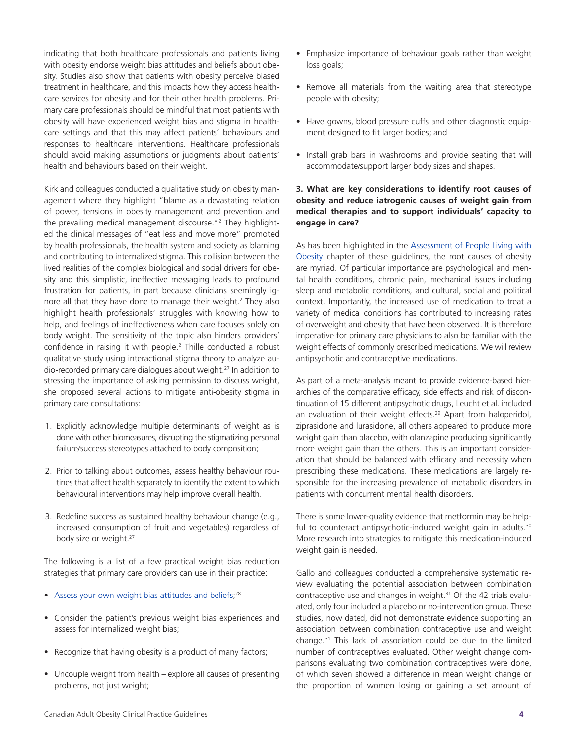indicating that both healthcare professionals and patients living with obesity endorse weight bias attitudes and beliefs about obesity. Studies also show that patients with obesity perceive biased treatment in healthcare, and this impacts how they access healthcare services for obesity and for their other health problems. Primary care professionals should be mindful that most patients with obesity will have experienced weight bias and stigma in healthcare settings and that this may affect patients' behaviours and responses to healthcare interventions. Healthcare professionals should avoid making assumptions or judgments about patients' health and behaviours based on their weight.

Kirk and colleagues conducted a qualitative study on obesity management where they highlight "blame as a devastating relation of power, tensions in obesity management and prevention and the prevailing medical management discourse."<sup>2</sup> They highlighted the clinical messages of "eat less and move more" promoted by health professionals, the health system and society as blaming and contributing to internalized stigma. This collision between the lived realities of the complex biological and social drivers for obesity and this simplistic, ineffective messaging leads to profound frustration for patients, in part because clinicians seemingly ignore all that they have done to manage their weight.<sup>2</sup> They also highlight health professionals' struggles with knowing how to help, and feelings of ineffectiveness when care focuses solely on body weight. The sensitivity of the topic also hinders providers' confidence in raising it with people.<sup>2</sup> Thille conducted a robust qualitative study using interactional stigma theory to analyze audio-recorded primary care dialogues about weight.27 In addition to stressing the importance of asking permission to discuss weight, she proposed several actions to mitigate anti-obesity stigma in primary care consultations:

- 1. Explicitly acknowledge multiple determinants of weight as is done with other biomeasures, disrupting the stigmatizing personal failure/success stereotypes attached to body composition;
- 2. Prior to talking about outcomes, assess healthy behaviour routines that affect health separately to identify the extent to which behavioural interventions may help improve overall health.
- 3. Redefine success as sustained healthy behaviour change (e.g., increased consumption of fruit and vegetables) regardless of body size or weight.<sup>27</sup>

The following is a list of a few practical weight bias reduction strategies that primary care providers can use in their practice:

- Assess your own weight bias [attitudes](https://implicit.harvard.edu/implicit/) and beliefs;<sup>28</sup>
- Consider the patient's previous weight bias experiences and assess for internalized weight bias;
- Recognize that having obesity is a product of many factors;
- Uncouple weight from health explore all causes of presenting problems, not just weight;
- Emphasize importance of behaviour goals rather than weight loss goals;
- Remove all materials from the waiting area that stereotype people with obesity;
- Have gowns, blood pressure cuffs and other diagnostic equipment designed to fit larger bodies; and
- Install grab bars in washrooms and provide seating that will accommodate/support larger body sizes and shapes.

#### **3. What are key considerations to identify root causes of obesity and reduce iatrogenic causes of weight gain from medical therapies and to support individuals' capacity to engage in care?**

As has been highlighted in the [Assessment](https://obesitycanada.ca/guidelines/assessment/) of People Living with [Obesity](https://obesitycanada.ca/guidelines/assessment/) chapter of these guidelines, the root causes of obesity are myriad. Of particular importance are psychological and mental health conditions, chronic pain, mechanical issues including sleep and metabolic conditions, and cultural, social and political context. Importantly, the increased use of medication to treat a variety of medical conditions has contributed to increasing rates of overweight and obesity that have been observed. It is therefore imperative for primary care physicians to also be familiar with the weight effects of commonly prescribed medications. We will review antipsychotic and contraceptive medications.

As part of a meta-analysis meant to provide evidence-based hierarchies of the comparative efficacy, side effects and risk of discontinuation of 15 different antipsychotic drugs, Leucht et al. included an evaluation of their weight effects.<sup>29</sup> Apart from haloperidol, ziprasidone and lurasidone, all others appeared to produce more weight gain than placebo, with olanzapine producing significantly more weight gain than the others. This is an important consideration that should be balanced with efficacy and necessity when prescribing these medications. These medications are largely responsible for the increasing prevalence of metabolic disorders in patients with concurrent mental health disorders.

There is some lower-quality evidence that metformin may be helpful to counteract antipsychotic-induced weight gain in adults.<sup>30</sup> More research into strategies to mitigate this medication-induced weight gain is needed.

Gallo and colleagues conducted a comprehensive systematic review evaluating the potential association between combination contraceptive use and changes in weight.<sup>31</sup> Of the 42 trials evaluated, only four included a placebo or no-intervention group. These studies, now dated, did not demonstrate evidence supporting an association between combination contraceptive use and weight change.31 This lack of association could be due to the limited number of contraceptives evaluated. Other weight change comparisons evaluating two combination contraceptives were done, of which seven showed a difference in mean weight change or the proportion of women losing or gaining a set amount of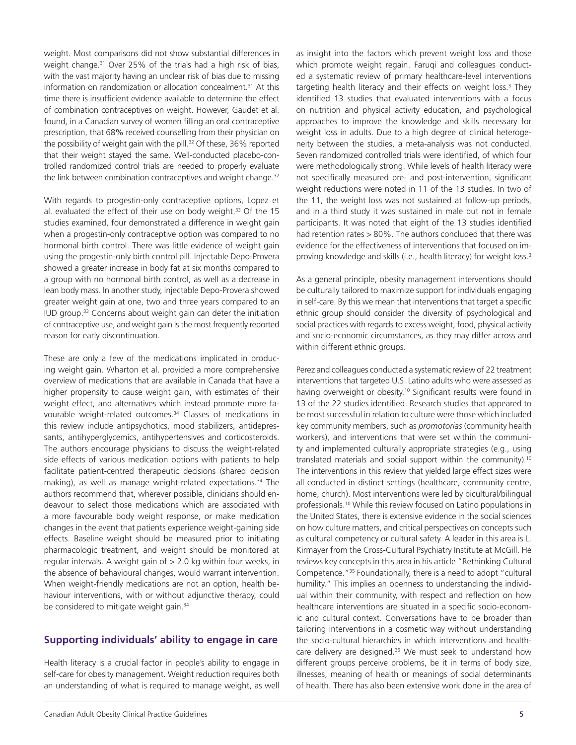weight. Most comparisons did not show substantial differences in weight change.<sup>31</sup> Over 25% of the trials had a high risk of bias, with the vast majority having an unclear risk of bias due to missing information on randomization or allocation concealment.<sup>31</sup> At this time there is insufficient evidence available to determine the effect of combination contraceptives on weight. However, Gaudet et al. found, in a Canadian survey of women filling an oral contraceptive prescription, that 68% received counselling from their physician on the possibility of weight gain with the pill.<sup>32</sup> Of these, 36% reported that their weight stayed the same. Well-conducted placebo-controlled randomized control trials are needed to properly evaluate the link between combination contraceptives and weight change.<sup>32</sup>

With regards to progestin-only contraceptive options, Lopez et al. evaluated the effect of their use on body weight.<sup>33</sup> Of the 15 studies examined, four demonstrated a difference in weight gain when a progestin-only contraceptive option was compared to no hormonal birth control. There was little evidence of weight gain using the progestin-only birth control pill. Injectable Depo-Provera showed a greater increase in body fat at six months compared to a group with no hormonal birth control, as well as a decrease in lean body mass. In another study, injectable Depo-Provera showed greater weight gain at one, two and three years compared to an IUD group.33 Concerns about weight gain can deter the initiation of contraceptive use, and weight gain is the most frequently reported reason for early discontinuation.

These are only a few of the medications implicated in producing weight gain. Wharton et al. provided a more comprehensive overview of medications that are available in Canada that have a higher propensity to cause weight gain, with estimates of their weight effect, and alternatives which instead promote more favourable weight-related outcomes.<sup>34</sup> Classes of medications in this review include antipsychotics, mood stabilizers, antidepressants, antihyperglycemics, antihypertensives and corticosteroids. The authors encourage physicians to discuss the weight-related side effects of various medication options with patients to help facilitate patient-centred therapeutic decisions (shared decision making), as well as manage weight-related expectations.<sup>34</sup> The authors recommend that, wherever possible, clinicians should endeavour to select those medications which are associated with a more favourable body weight response, or make medication changes in the event that patients experience weight-gaining side effects. Baseline weight should be measured prior to initiating pharmacologic treatment, and weight should be monitored at regular intervals. A weight gain of > 2.0 kg within four weeks, in the absence of behavioural changes, would warrant intervention. When weight-friendly medications are not an option, health behaviour interventions, with or without adjunctive therapy, could be considered to mitigate weight gain.<sup>34</sup>

## **Supporting individuals' ability to engage in care**

Health literacy is a crucial factor in people's ability to engage in self-care for obesity management. Weight reduction requires both an understanding of what is required to manage weight, as well as insight into the factors which prevent weight loss and those which promote weight regain. Faruqi and colleagues conducted a systematic review of primary healthcare-level interventions targeting health literacy and their effects on weight loss.<sup>3</sup> They identified 13 studies that evaluated interventions with a focus on nutrition and physical activity education, and psychological approaches to improve the knowledge and skills necessary for weight loss in adults. Due to a high degree of clinical heterogeneity between the studies, a meta-analysis was not conducted. Seven randomized controlled trials were identified, of which four were methodologically strong. While levels of health literacy were not specifically measured pre- and post-intervention, significant weight reductions were noted in 11 of the 13 studies. In two of the 11, the weight loss was not sustained at follow-up periods, and in a third study it was sustained in male but not in female participants. It was noted that eight of the 13 studies identified had retention rates > 80%. The authors concluded that there was evidence for the effectiveness of interventions that focused on improving knowledge and skills (i.e., health literacy) for weight loss.<sup>3</sup>

As a general principle, obesity management interventions should be culturally tailored to maximize support for individuals engaging in self-care. By this we mean that interventions that target a specific ethnic group should consider the diversity of psychological and social practices with regards to excess weight, food, physical activity and socio-economic circumstances, as they may differ across and within different ethnic groups.

Perez and colleagues conducted a systematic review of 22 treatment interventions that targeted U.S. Latino adults who were assessed as having overweight or obesity.<sup>10</sup> Significant results were found in 13 of the 22 studies identified. Research studies that appeared to be most successful in relation to culture were those which included key community members, such as *promotorias* (community health workers), and interventions that were set within the community and implemented culturally appropriate strategies (e.g., using translated materials and social support within the community).10 The interventions in this review that yielded large effect sizes were all conducted in distinct settings (healthcare, community centre, home, church). Most interventions were led by bicultural/bilingual professionals.10 While this review focused on Latino populations in the United States, there is extensive evidence in the social sciences on how culture matters, and critical perspectives on concepts such as cultural competency or cultural safety. A leader in this area is L. Kirmayer from the Cross-Cultural Psychiatry Institute at McGill. He reviews key concepts in this area in his article "Rethinking Cultural Competence."35 Foundationally, there is a need to adopt "cultural humility." This implies an openness to understanding the individual within their community, with respect and reflection on how healthcare interventions are situated in a specific socio-economic and cultural context. Conversations have to be broader than tailoring interventions in a cosmetic way without understanding the socio-cultural hierarchies in which interventions and healthcare delivery are designed.<sup>35</sup> We must seek to understand how different groups perceive problems, be it in terms of body size, illnesses, meaning of health or meanings of social determinants of health. There has also been extensive work done in the area of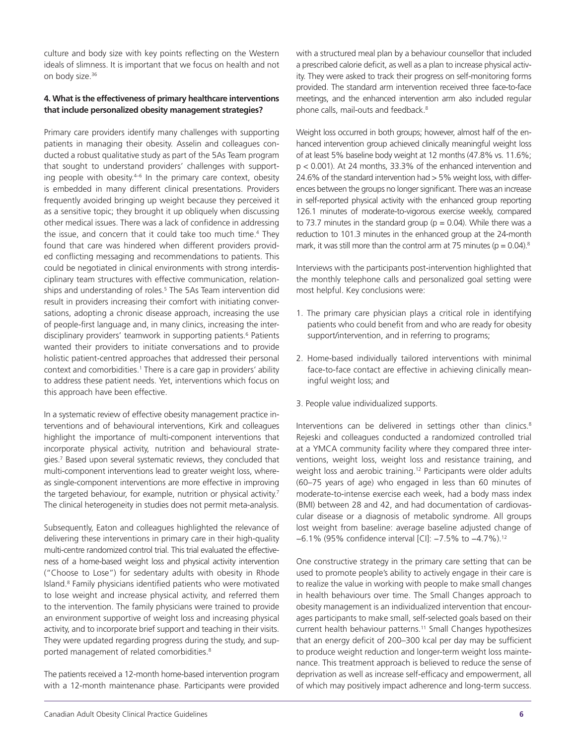culture and body size with key points reflecting on the Western ideals of slimness. It is important that we focus on health and not on body size.<sup>36</sup>

#### **4. What is the effectiveness of primary healthcare interventions that include personalized obesity management strategies?**

Primary care providers identify many challenges with supporting patients in managing their obesity. Asselin and colleagues conducted a robust qualitative study as part of the 5As Team program that sought to understand providers' challenges with supporting people with obesity. $4-6$  In the primary care context, obesity is embedded in many different clinical presentations. Providers frequently avoided bringing up weight because they perceived it as a sensitive topic; they brought it up obliquely when discussing other medical issues. There was a lack of confidence in addressing the issue, and concern that it could take too much time.<sup>4</sup> They found that care was hindered when different providers provided conflicting messaging and recommendations to patients. This could be negotiated in clinical environments with strong interdisciplinary team structures with effective communication, relationships and understanding of roles.<sup>5</sup> The 5As Team intervention did result in providers increasing their comfort with initiating conversations, adopting a chronic disease approach, increasing the use of people-first language and, in many clinics, increasing the interdisciplinary providers' teamwork in supporting patients.<sup>6</sup> Patients wanted their providers to initiate conversations and to provide holistic patient-centred approaches that addressed their personal context and comorbidities.<sup>1</sup> There is a care gap in providers' ability to address these patient needs. Yet, interventions which focus on this approach have been effective.

In a systematic review of effective obesity management practice interventions and of behavioural interventions, Kirk and colleagues highlight the importance of multi-component interventions that incorporate physical activity, nutrition and behavioural strategies.<sup>7</sup> Based upon several systematic reviews, they concluded that multi-component interventions lead to greater weight loss, whereas single-component interventions are more effective in improving the targeted behaviour, for example, nutrition or physical activity.<sup>7</sup> The clinical heterogeneity in studies does not permit meta-analysis.

Subsequently, Eaton and colleagues highlighted the relevance of delivering these interventions in primary care in their high-quality multi-centre randomized control trial. This trial evaluated the effectiveness of a home-based weight loss and physical activity intervention ("Choose to Lose") for sedentary adults with obesity in Rhode Island.<sup>8</sup> Family physicians identified patients who were motivated to lose weight and increase physical activity, and referred them to the intervention. The family physicians were trained to provide an environment supportive of weight loss and increasing physical activity, and to incorporate brief support and teaching in their visits. They were updated regarding progress during the study, and supported management of related comorbidities.<sup>8</sup>

The patients received a 12-month home-based intervention program with a 12-month maintenance phase. Participants were provided with a structured meal plan by a behaviour counsellor that included a prescribed calorie deficit, as well as a plan to increase physical activity. They were asked to track their progress on self-monitoring forms provided. The standard arm intervention received three face-to-face meetings, and the enhanced intervention arm also included regular phone calls, mail-outs and feedback.<sup>8</sup>

Weight loss occurred in both groups; however, almost half of the enhanced intervention group achieved clinically meaningful weight loss of at least 5% baseline body weight at 12 months (47.8% vs. 11.6%; p < 0.001). At 24 months, 33.3% of the enhanced intervention and 24.6% of the standard intervention had > 5% weight loss, with differences between the groups no longer significant. There was an increase in self-reported physical activity with the enhanced group reporting 126.1 minutes of moderate-to-vigorous exercise weekly, compared to 73.7 minutes in the standard group ( $p = 0.04$ ). While there was a reduction to 101.3 minutes in the enhanced group at the 24-month mark, it was still more than the control arm at 75 minutes ( $p = 0.04$ ).<sup>8</sup>

Interviews with the participants post-intervention highlighted that the monthly telephone calls and personalized goal setting were most helpful. Key conclusions were:

- 1. The primary care physician plays a critical role in identifying patients who could benefit from and who are ready for obesity support/intervention, and in referring to programs;
- 2. Home-based individually tailored interventions with minimal face-to-face contact are effective in achieving clinically meaningful weight loss; and
- 3. People value individualized supports.

Interventions can be delivered in settings other than clinics.<sup>8</sup> Rejeski and colleagues conducted a randomized controlled trial at a YMCA community facility where they compared three interventions, weight loss, weight loss and resistance training, and weight loss and aerobic training.<sup>12</sup> Participants were older adults (60–75 years of age) who engaged in less than 60 minutes of moderate-to-intense exercise each week, had a body mass index (BMI) between 28 and 42, and had documentation of cardiovascular disease or a diagnosis of metabolic syndrome. All groups lost weight from baseline: average baseline adjusted change of −6.1% (95% confidence interval [CI]: −7.5% to −4.7%).12

One constructive strategy in the primary care setting that can be used to promote people's ability to actively engage in their care is to realize the value in working with people to make small changes in health behaviours over time. The Small Changes approach to obesity management is an individualized intervention that encourages participants to make small, self-selected goals based on their current health behaviour patterns.<sup>11</sup> Small Changes hypothesizes that an energy deficit of 200–300 kcal per day may be sufficient to produce weight reduction and longer-term weight loss maintenance. This treatment approach is believed to reduce the sense of deprivation as well as increase self-efficacy and empowerment, all of which may positively impact adherence and long-term success.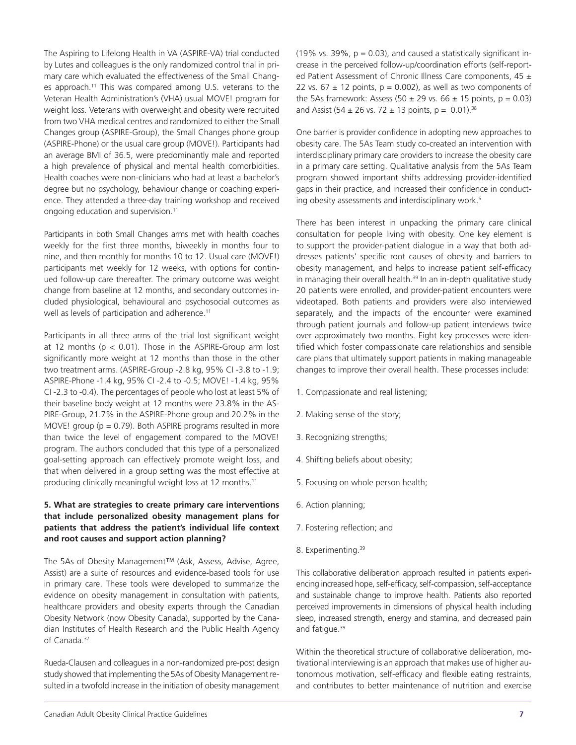The Aspiring to Lifelong Health in VA (ASPIRE-VA) trial conducted by Lutes and colleagues is the only randomized control trial in primary care which evaluated the effectiveness of the Small Changes approach.<sup>11</sup> This was compared among U.S. veterans to the Veteran Health Administration's (VHA) usual MOVE! program for weight loss. Veterans with overweight and obesity were recruited from two VHA medical centres and randomized to either the Small Changes group (ASPIRE-Group), the Small Changes phone group (ASPIRE-Phone) or the usual care group (MOVE!). Participants had an average BMI of 36.5, were predominantly male and reported a high prevalence of physical and mental health comorbidities. Health coaches were non-clinicians who had at least a bachelor's degree but no psychology, behaviour change or coaching experience. They attended a three-day training workshop and received ongoing education and supervision.<sup>11</sup>

Participants in both Small Changes arms met with health coaches weekly for the first three months, biweekly in months four to nine, and then monthly for months 10 to 12. Usual care (MOVE!) participants met weekly for 12 weeks, with options for continued follow-up care thereafter. The primary outcome was weight change from baseline at 12 months, and secondary outcomes included physiological, behavioural and psychosocial outcomes as well as levels of participation and adherence.<sup>11</sup>

Participants in all three arms of the trial lost significant weight at 12 months ( $p < 0.01$ ). Those in the ASPIRE-Group arm lost significantly more weight at 12 months than those in the other two treatment arms. (ASPIRE-Group -2.8 kg, 95% CI -3.8 to -1.9; ASPIRE-Phone -1.4 kg, 95% CI -2.4 to -0.5; MOVE! -1.4 kg, 95% CI -2.3 to -0.4). The percentages of people who lost at least 5% of their baseline body weight at 12 months were 23.8% in the AS-PIRE-Group, 21.7% in the ASPIRE-Phone group and 20.2% in the MOVE! group ( $p = 0.79$ ). Both ASPIRE programs resulted in more than twice the level of engagement compared to the MOVE! program. The authors concluded that this type of a personalized goal-setting approach can effectively promote weight loss, and that when delivered in a group setting was the most effective at producing clinically meaningful weight loss at 12 months.<sup>11</sup>

#### **5. What are strategies to create primary care interventions that include personalized obesity management plans for patients that address the patient's individual life context and root causes and support action planning?**

The 5As of Obesity Management™ (Ask, Assess, Advise, Agree, Assist) are a suite of resources and evidence-based tools for use in primary care. These tools were developed to summarize the evidence on obesity management in consultation with patients, healthcare providers and obesity experts through the Canadian Obesity Network (now Obesity Canada), supported by the Canadian Institutes of Health Research and the Public Health Agency of Canada.<sup>37</sup>

Rueda-Clausen and colleagues in a non-randomized pre-post design study showed that implementing the 5As of Obesity Management resulted in a twofold increase in the initiation of obesity management (19% vs. 39%,  $p = 0.03$ ), and caused a statistically significant increase in the perceived follow-up/coordination efforts (self-reported Patient Assessment of Chronic Illness Care components, 45 ± 22 vs. 67  $\pm$  12 points, p = 0.002), as well as two components of the 5As framework: Assess (50  $\pm$  29 vs. 66  $\pm$  15 points, p = 0.03) and Assist (54  $\pm$  26 vs. 72  $\pm$  13 points, p = 0.01).<sup>38</sup>

One barrier is provider confidence in adopting new approaches to obesity care. The 5As Team study co-created an intervention with interdisciplinary primary care providers to increase the obesity care in a primary care setting. Qualitative analysis from the 5As Team program showed important shifts addressing provider-identified gaps in their practice, and increased their confidence in conducting obesity assessments and interdisciplinary work.<sup>5</sup>

There has been interest in unpacking the primary care clinical consultation for people living with obesity. One key element is to support the provider-patient dialogue in a way that both addresses patients' specific root causes of obesity and barriers to obesity management, and helps to increase patient self-efficacy in managing their overall health.<sup>39</sup> In an in-depth qualitative study 20 patients were enrolled, and provider-patient encounters were videotaped. Both patients and providers were also interviewed separately, and the impacts of the encounter were examined through patient journals and follow-up patient interviews twice over approximately two months. Eight key processes were identified which foster compassionate care relationships and sensible care plans that ultimately support patients in making manageable changes to improve their overall health. These processes include:

- 1. Compassionate and real listening;
- 2. Making sense of the story;
- 3. Recognizing strengths;
- 4. Shifting beliefs about obesity;
- 5. Focusing on whole person health;
- 6. Action planning;
- 7. Fostering reflection; and
- 8. Experimenting.<sup>39</sup>

This collaborative deliberation approach resulted in patients experiencing increased hope, self-efficacy, self-compassion, self-acceptance and sustainable change to improve health. Patients also reported perceived improvements in dimensions of physical health including sleep, increased strength, energy and stamina, and decreased pain and fatigue.<sup>39</sup>

Within the theoretical structure of collaborative deliberation, motivational interviewing is an approach that makes use of higher autonomous motivation, self-efficacy and flexible eating restraints, and contributes to better maintenance of nutrition and exercise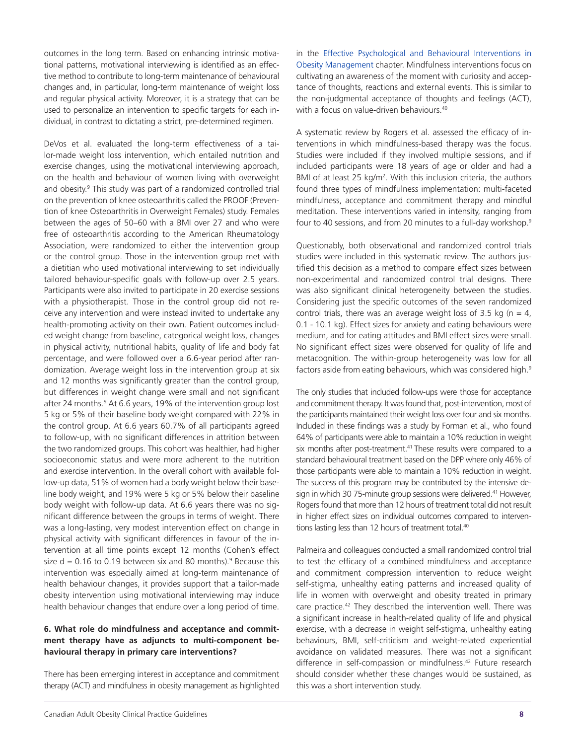outcomes in the long term. Based on enhancing intrinsic motivational patterns, motivational interviewing is identified as an effective method to contribute to long-term maintenance of behavioural changes and, in particular, long-term maintenance of weight loss and regular physical activity. Moreover, it is a strategy that can be used to personalize an intervention to specific targets for each individual, in contrast to dictating a strict, pre-determined regimen.

DeVos et al. evaluated the long-term effectiveness of a tailor-made weight loss intervention, which entailed nutrition and exercise changes, using the motivational interviewing approach, on the health and behaviour of women living with overweight and obesity.<sup>9</sup> This study was part of a randomized controlled trial on the prevention of knee osteoarthritis called the PROOF (Prevention of knee Osteoarthritis in Overweight Females) study. Females between the ages of 50–60 with a BMI over 27 and who were free of osteoarthritis according to the American Rheumatology Association, were randomized to either the intervention group or the control group. Those in the intervention group met with a dietitian who used motivational interviewing to set individually tailored behaviour-specific goals with follow-up over 2.5 years. Participants were also invited to participate in 20 exercise sessions with a physiotherapist. Those in the control group did not receive any intervention and were instead invited to undertake any health-promoting activity on their own. Patient outcomes included weight change from baseline, categorical weight loss, changes in physical activity, nutritional habits, quality of life and body fat percentage, and were followed over a 6.6-year period after randomization. Average weight loss in the intervention group at six and 12 months was significantly greater than the control group, but differences in weight change were small and not significant after 24 months.<sup>9</sup> At 6.6 years, 19% of the intervention group lost 5 kg or 5% of their baseline body weight compared with 22% in the control group. At 6.6 years 60.7% of all participants agreed to follow-up, with no significant differences in attrition between the two randomized groups. This cohort was healthier, had higher socioeconomic status and were more adherent to the nutrition and exercise intervention. In the overall cohort with available follow-up data, 51% of women had a body weight below their baseline body weight, and 19% were 5 kg or 5% below their baseline body weight with follow-up data. At 6.6 years there was no significant difference between the groups in terms of weight. There was a long-lasting, very modest intervention effect on change in physical activity with significant differences in favour of the intervention at all time points except 12 months (Cohen's effect size  $d = 0.16$  to 0.19 between six and 80 months).<sup>9</sup> Because this intervention was especially aimed at long-term maintenance of health behaviour changes, it provides support that a tailor-made obesity intervention using motivational interviewing may induce health behaviour changes that endure over a long period of time.

#### **6. What role do mindfulness and acceptance and commitment therapy have as adjuncts to multi-component behavioural therapy in primary care interventions?**

There has been emerging interest in acceptance and commitment therapy (ACT) and mindfulness in obesity management as highlighted in the Effective [Psychological](https://obesitycanada.ca/guidelines/behavioural/) and Behavioural Interventions in Obesity [Management](https://obesitycanada.ca/guidelines/behavioural/) chapter. Mindfulness interventions focus on cultivating an awareness of the moment with curiosity and acceptance of thoughts, reactions and external events. This is similar to the non-judgmental acceptance of thoughts and feelings (ACT), with a focus on value-driven behaviours.<sup>40</sup>

A systematic review by Rogers et al. assessed the efficacy of interventions in which mindfulness-based therapy was the focus. Studies were included if they involved multiple sessions, and if included participants were 18 years of age or older and had a BMI of at least 25 kg/m<sup>2</sup>. With this inclusion criteria, the authors found three types of mindfulness implementation: multi-faceted mindfulness, acceptance and commitment therapy and mindful meditation. These interventions varied in intensity, ranging from four to 40 sessions, and from 20 minutes to a full-day workshop.<sup>9</sup>

Questionably, both observational and randomized control trials studies were included in this systematic review. The authors justified this decision as a method to compare effect sizes between non-experimental and randomized control trial designs. There was also significant clinical heterogeneity between the studies. Considering just the specific outcomes of the seven randomized control trials, there was an average weight loss of 3.5 kg ( $n = 4$ , 0.1 - 10.1 kg). Effect sizes for anxiety and eating behaviours were medium, and for eating attitudes and BMI effect sizes were small. No significant effect sizes were observed for quality of life and metacognition. The within-group heterogeneity was low for all factors aside from eating behaviours, which was considered high.<sup>9</sup>

The only studies that included follow-ups were those for acceptance and commitment therapy. It was found that, post-intervention, most of the participants maintained their weight loss over four and six months. Included in these findings was a study by Forman et al., who found 64% of participants were able to maintain a 10% reduction in weight six months after post-treatment.<sup>41</sup> These results were compared to a standard behavioural treatment based on the DPP where only 46% of those participants were able to maintain a 10% reduction in weight. The success of this program may be contributed by the intensive design in which 30 75-minute group sessions were delivered.<sup>41</sup> However, Rogers found that more than 12 hours of treatment total did not result in higher effect sizes on individual outcomes compared to interventions lasting less than 12 hours of treatment total.<sup>40</sup>

Palmeira and colleagues conducted a small randomized control trial to test the efficacy of a combined mindfulness and acceptance and commitment compression intervention to reduce weight self-stigma, unhealthy eating patterns and increased quality of life in women with overweight and obesity treated in primary care practice.42 They described the intervention well. There was a significant increase in health-related quality of life and physical exercise, with a decrease in weight self-stigma, unhealthy eating behaviours, BMI, self-criticism and weight-related experiential avoidance on validated measures. There was not a significant difference in self-compassion or mindfulness.<sup>42</sup> Future research should consider whether these changes would be sustained, as this was a short intervention study.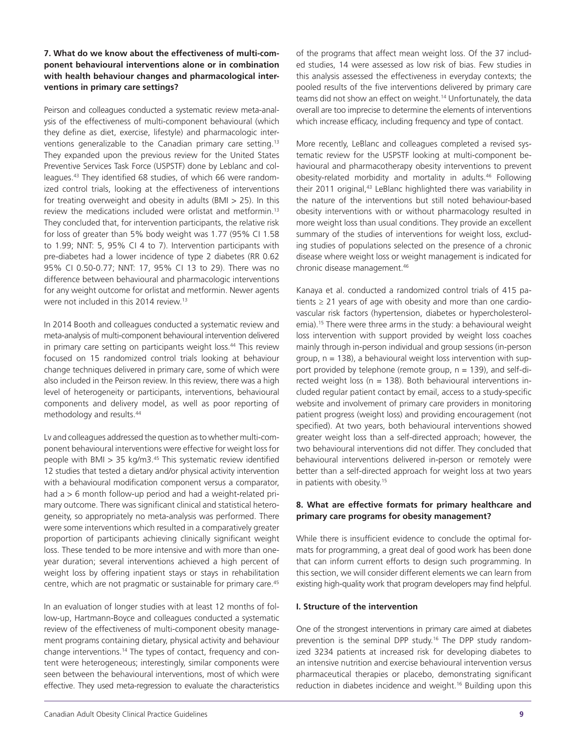#### **7. What do we know about the effectiveness of multi-component behavioural interventions alone or in combination with health behaviour changes and pharmacological interventions in primary care settings?**

Peirson and colleagues conducted a systematic review meta-analysis of the effectiveness of multi-component behavioural (which they define as diet, exercise, lifestyle) and pharmacologic interventions generalizable to the Canadian primary care setting.<sup>13</sup> They expanded upon the previous review for the United States Preventive Services Task Force (USPSTF) done by Leblanc and colleagues.43 They identified 68 studies, of which 66 were randomized control trials, looking at the effectiveness of interventions for treating overweight and obesity in adults (BMI > 25). In this review the medications included were orlistat and metformin.13 They concluded that, for intervention participants, the relative risk for loss of greater than 5% body weight was 1.77 (95% CI 1.58 to 1.99; NNT: 5, 95% CI 4 to 7). Intervention participants with pre-diabetes had a lower incidence of type 2 diabetes (RR 0.62 95% CI 0.50-0.77; NNT: 17, 95% CI 13 to 29). There was no difference between behavioural and pharmacologic interventions for any weight outcome for orlistat and metformin. Newer agents were not included in this 2014 review.13

In 2014 Booth and colleagues conducted a systematic review and meta-analysis of multi-component behavioural intervention delivered in primary care setting on participants weight loss.<sup>44</sup> This review focused on 15 randomized control trials looking at behaviour change techniques delivered in primary care, some of which were also included in the Peirson review. In this review, there was a high level of heterogeneity or participants, interventions, behavioural components and delivery model, as well as poor reporting of methodology and results.44

Lv and colleagues addressed the question as to whether multi-component behavioural interventions were effective for weight loss for people with BMI  $> 35$  kg/m3.<sup>45</sup> This systematic review identified 12 studies that tested a dietary and/or physical activity intervention with a behavioural modification component versus a comparator, had a > 6 month follow-up period and had a weight-related primary outcome. There was significant clinical and statistical heterogeneity, so appropriately no meta-analysis was performed. There were some interventions which resulted in a comparatively greater proportion of participants achieving clinically significant weight loss. These tended to be more intensive and with more than oneyear duration; several interventions achieved a high percent of weight loss by offering inpatient stays or stays in rehabilitation centre, which are not pragmatic or sustainable for primary care.<sup>45</sup>

In an evaluation of longer studies with at least 12 months of follow-up, Hartmann-Boyce and colleagues conducted a systematic review of the effectiveness of multi-component obesity management programs containing dietary, physical activity and behaviour change interventions.14 The types of contact, frequency and content were heterogeneous; interestingly, similar components were seen between the behavioural interventions, most of which were effective. They used meta-regression to evaluate the characteristics

of the programs that affect mean weight loss. Of the 37 included studies, 14 were assessed as low risk of bias. Few studies in this analysis assessed the effectiveness in everyday contexts; the pooled results of the five interventions delivered by primary care teams did not show an effect on weight.<sup>14</sup> Unfortunately, the data overall are too imprecise to determine the elements of interventions which increase efficacy, including frequency and type of contact.

More recently, LeBlanc and colleagues completed a revised systematic review for the USPSTF looking at multi-component behavioural and pharmacotherapy obesity interventions to prevent obesity-related morbidity and mortality in adults.46 Following their 2011 original,<sup>43</sup> LeBlanc highlighted there was variability in the nature of the interventions but still noted behaviour-based obesity interventions with or without pharmacology resulted in more weight loss than usual conditions. They provide an excellent summary of the studies of interventions for weight loss, excluding studies of populations selected on the presence of a chronic disease where weight loss or weight management is indicated for chronic disease management.46

Kanaya et al. conducted a randomized control trials of 415 patients  $\geq$  21 years of age with obesity and more than one cardiovascular risk factors (hypertension, diabetes or hypercholesterolemia).<sup>15</sup> There were three arms in the study: a behavioural weight loss intervention with support provided by weight loss coaches mainly through in-person individual and group sessions (in-person group,  $n = 138$ ), a behavioural weight loss intervention with support provided by telephone (remote group,  $n = 139$ ), and self-directed weight loss ( $n = 138$ ). Both behavioural interventions included regular patient contact by email, access to a study-specific website and involvement of primary care providers in monitoring patient progress (weight loss) and providing encouragement (not specified). At two years, both behavioural interventions showed greater weight loss than a self-directed approach; however, the two behavioural interventions did not differ. They concluded that behavioural interventions delivered in-person or remotely were better than a self-directed approach for weight loss at two years in patients with obesity.<sup>15</sup>

### **8. What are effective formats for primary healthcare and primary care programs for obesity management?**

While there is insufficient evidence to conclude the optimal formats for programming, a great deal of good work has been done that can inform current efforts to design such programming. In this section, we will consider different elements we can learn from existing high-quality work that program developers may find helpful.

#### **I. Structure of the intervention**

One of the strongest interventions in primary care aimed at diabetes prevention is the seminal DPP study.16 The DPP study randomized 3234 patients at increased risk for developing diabetes to an intensive nutrition and exercise behavioural intervention versus pharmaceutical therapies or placebo, demonstrating significant reduction in diabetes incidence and weight.16 Building upon this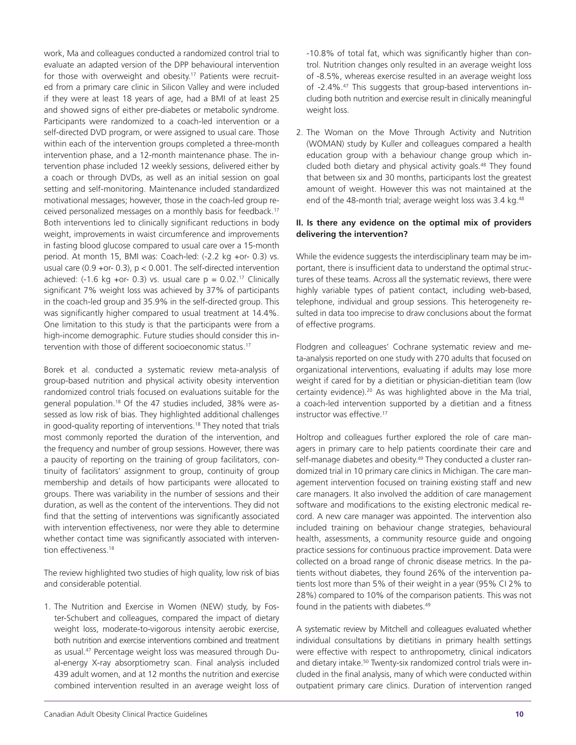work, Ma and colleagues conducted a randomized control trial to evaluate an adapted version of the DPP behavioural intervention for those with overweight and obesity.<sup>17</sup> Patients were recruited from a primary care clinic in Silicon Valley and were included if they were at least 18 years of age, had a BMI of at least 25 and showed signs of either pre-diabetes or metabolic syndrome. Participants were randomized to a coach-led intervention or a self-directed DVD program, or were assigned to usual care. Those within each of the intervention groups completed a three-month intervention phase, and a 12-month maintenance phase. The intervention phase included 12 weekly sessions, delivered either by a coach or through DVDs, as well as an initial session on goal setting and self-monitoring. Maintenance included standardized motivational messages; however, those in the coach-led group received personalized messages on a monthly basis for feedback.<sup>17</sup> Both interventions led to clinically significant reductions in body weight, improvements in waist circumference and improvements in fasting blood glucose compared to usual care over a 15-month period. At month 15, BMI was: Coach-led: (-2.2 kg +or- 0.3) vs. usual care (0.9 +or- 0.3),  $p < 0.001$ . The self-directed intervention achieved: (-1.6 kg +or- 0.3) vs. usual care  $p = 0.02$ .<sup>17</sup> Clinically significant 7% weight loss was achieved by 37% of participants in the coach-led group and 35.9% in the self-directed group. This was significantly higher compared to usual treatment at 14.4%. One limitation to this study is that the participants were from a high-income demographic. Future studies should consider this intervention with those of different socioeconomic status.17

Borek et al. conducted a systematic review meta-analysis of group-based nutrition and physical activity obesity intervention randomized control trials focused on evaluations suitable for the general population.<sup>18</sup> Of the 47 studies included, 38% were assessed as low risk of bias. They highlighted additional challenges in good-quality reporting of interventions.18 They noted that trials most commonly reported the duration of the intervention, and the frequency and number of group sessions. However, there was a paucity of reporting on the training of group facilitators, continuity of facilitators' assignment to group, continuity of group membership and details of how participants were allocated to groups. There was variability in the number of sessions and their duration, as well as the content of the interventions. They did not find that the setting of interventions was significantly associated with intervention effectiveness, nor were they able to determine whether contact time was significantly associated with intervention effectiveness.<sup>18</sup>

The review highlighted two studies of high quality, low risk of bias and considerable potential.

1. The Nutrition and Exercise in Women (NEW) study, by Foster-Schubert and colleagues, compared the impact of dietary weight loss, moderate-to-vigorous intensity aerobic exercise, both nutrition and exercise interventions combined and treatment as usual.47 Percentage weight loss was measured through Dual-energy X-ray absorptiometry scan. Final analysis included 439 adult women, and at 12 months the nutrition and exercise combined intervention resulted in an average weight loss of

-10.8% of total fat, which was significantly higher than control. Nutrition changes only resulted in an average weight loss of -8.5%, whereas exercise resulted in an average weight loss of -2.4%.47 This suggests that group-based interventions including both nutrition and exercise result in clinically meaningful weight loss.

2. The Woman on the Move Through Activity and Nutrition (WOMAN) study by Kuller and colleagues compared a health education group with a behaviour change group which included both dietary and physical activity goals.<sup>48</sup> They found that between six and 30 months, participants lost the greatest amount of weight. However this was not maintained at the end of the 48-month trial; average weight loss was 3.4 kg.<sup>48</sup>

#### **II. Is there any evidence on the optimal mix of providers delivering the intervention?**

While the evidence suggests the interdisciplinary team may be important, there is insufficient data to understand the optimal structures of these teams. Across all the systematic reviews, there were highly variable types of patient contact, including web-based, telephone, individual and group sessions. This heterogeneity resulted in data too imprecise to draw conclusions about the format of effective programs.

Flodgren and colleagues' Cochrane systematic review and meta-analysis reported on one study with 270 adults that focused on organizational interventions, evaluating if adults may lose more weight if cared for by a dietitian or physician-dietitian team (low certainty evidence).20 As was highlighted above in the Ma trial, a coach-led intervention supported by a dietitian and a fitness instructor was effective.<sup>17</sup>

Holtrop and colleagues further explored the role of care managers in primary care to help patients coordinate their care and self-manage diabetes and obesity.<sup>49</sup> They conducted a cluster randomized trial in 10 primary care clinics in Michigan. The care management intervention focused on training existing staff and new care managers. It also involved the addition of care management software and modifications to the existing electronic medical record. A new care manager was appointed. The intervention also included training on behaviour change strategies, behavioural health, assessments, a community resource guide and ongoing practice sessions for continuous practice improvement. Data were collected on a broad range of chronic disease metrics. In the patients without diabetes, they found 26% of the intervention patients lost more than 5% of their weight in a year (95% CI 2% to 28%) compared to 10% of the comparison patients. This was not found in the patients with diabetes.<sup>49</sup>

A systematic review by Mitchell and colleagues evaluated whether individual consultations by dietitians in primary health settings were effective with respect to anthropometry, clinical indicators and dietary intake.<sup>50</sup> Twenty-six randomized control trials were included in the final analysis, many of which were conducted within outpatient primary care clinics. Duration of intervention ranged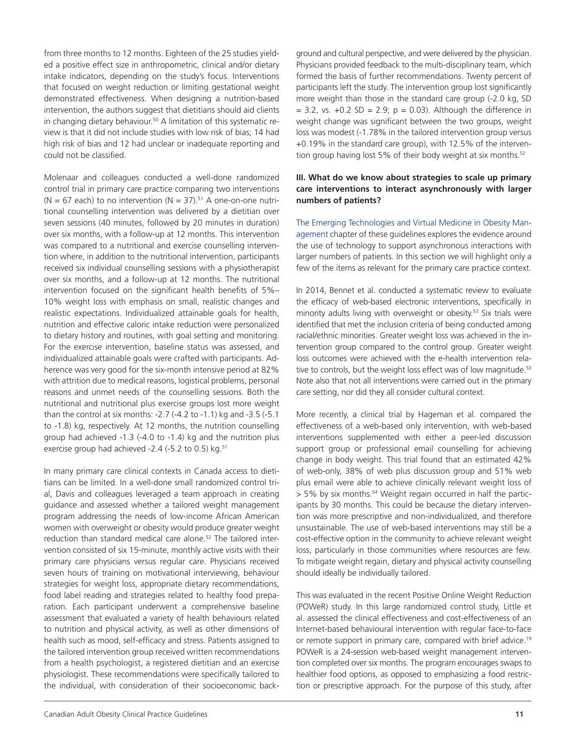from three months to 12 months. Eighteen of the 25 studies yielded a positive effect size in anthropometric, clinical and/or dietary intake indicators, depending on the study's focus. Interventions that focused on weight reduction or limiting gestational weight demonstrated effectiveness. When designing a nutrition-based intervention, the authors suggest that dietitians should aid clients in changing dietary behaviour.<sup>50</sup> A limitation of this systematic review is that it did not include studies with low risk of bias; 14 had high risk of bias and 12 had unclear or inadequate reporting and could not be classified.

Molenaar and colleagues conducted a well-done randomized control trial in primary care practice comparing two interventions (N = 67 each) to no intervention (N = 37).<sup>51</sup> A one-on-one nutritional counselling intervention was delivered by a dietitian over seven sessions (40 minutes, followed by 20 minutes in duration) over six months, with a follow-up at 12 months. This intervention was compared to a nutritional and exercise counselling intervention where, in addition to the nutritional intervention, participants received six individual counselling sessions with a physiotherapist over six months, and a follow-up at 12 months. The nutritional intervention focused on the significant health benefits of 5%– 10% weight loss with emphasis on small, realistic changes and realistic expectations. Individualized attainable goals for health, nutrition and effective caloric intake reduction were personalized to dietary history and routines, with goal setting and monitoring. For the exercise intervention, baseline status was assessed, and individualized attainable goals were crafted with participants. Adherence was very good for the six-month intensive period at 82% with attrition due to medical reasons, logistical problems, personal reasons and unmet needs of the counselling sessions. Both the nutritional and nutritional plus exercise groups lost more weight than the control at six months: -2.7 (-4.2 to -1.1) kg and -3.5 (-5.1 to -1.8) kg, respectively. At 12 months, the nutrition counselling group had achieved -1.3 (-4.0 to -1.4) kg and the nutrition plus exercise group had achieved -2.4 (-5.2 to 0.5) kg.<sup>51</sup>

In many primary care clinical contexts in Canada access to dietitians can be limited. In a well-done small randomized control trial, Davis and colleagues leveraged a team approach in creating guidance and assessed whether a tailored weight management program addressing the needs of low-income African American women with overweight or obesity would produce greater weight reduction than standard medical care alone.<sup>52</sup> The tailored intervention consisted of six 15-minute, monthly active visits with their primary care physicians versus regular care. Physicians received seven hours of training on motivational interviewing, behaviour strategies for weight loss, appropriate dietary recommendations, food label reading and strategies related to healthy food preparation. Each participant underwent a comprehensive baseline assessment that evaluated a variety of health behaviours related to nutrition and physical activity, as well as other dimensions of health such as mood, self-efficacy and stress. Patients assigned to the tailored intervention group received written recommendations from a health psychologist, a registered dietitian and an exercise physiologist. These recommendations were specifically tailored to the individual, with consideration of their socioeconomic background and cultural perspective, and were delivered by the physician. Physicians provided feedback to the multi-disciplinary team, which formed the basis of further recommendations. Twenty percent of participants left the study. The intervention group lost significantly more weight than those in the standard care group (-2.0 kg, SD  $= 3.2$ , vs.  $+0.2$  SD  $= 2.9$ ; p  $= 0.03$ ). Although the difference in weight change was significant between the two groups, weight loss was modest (-1.78% in the tailored intervention group versus +0.19% in the standard care group), with 12.5% of the intervention group having lost 5% of their body weight at six months.<sup>52</sup>

#### **III. What do we know about strategies to scale up primary care interventions to interact asynchronously with larger numbers of patients?**

The Emerging [Technologies](https://obesitycanada.ca/guidelines/technologies/) and Virtual Medicine in Obesity Man[agement](https://obesitycanada.ca/guidelines/technologies/) chapter of these guidelines explores the evidence around the use of technology to support asynchronous interactions with larger numbers of patients. In this section we will highlight only a few of the items as relevant for the primary care practice context.

In 2014, Bennet et al. conducted a systematic review to evaluate the efficacy of web-based electronic interventions, specifically in minority adults living with overweight or obesity.<sup>53</sup> Six trials were identified that met the inclusion criteria of being conducted among racial/ethnic minorities. Greater weight loss was achieved in the intervention group compared to the control group. Greater weight loss outcomes were achieved with the e-health intervention relative to controls, but the weight loss effect was of low magnitude.<sup>53</sup> Note also that not all interventions were carried out in the primary care setting, nor did they all consider cultural context.

More recently, a clinical trial by Hageman et al. compared the effectiveness of a web-based only intervention, with web-based interventions supplemented with either a peer-led discussion support group or professional email counselling for achieving change in body weight. This trial found that an estimated 42% of web-only, 38% of web plus discussion group and 51% web plus email were able to achieve clinically relevant weight loss of > 5% by six months.54 Weight regain occurred in half the participants by 30 months. This could be because the dietary intervention was more prescriptive and non-individualized, and therefore unsustainable. The use of web-based interventions may still be a cost-effective option in the community to achieve relevant weight loss, particularly in those communities where resources are few. To mitigate weight regain, dietary and physical activity counselling should ideally be individually tailored.

This was evaluated in the recent Positive Online Weight Reduction (POWeR) study. In this large randomized control study, Little et al. assessed the clinical effectiveness and cost-effectiveness of an Internet-based behavioural intervention with regular face-to-face or remote support in primary care, compared with brief advice.<sup>19</sup> POWeR is a 24-session web-based weight management intervention completed over six months. The program encourages swaps to healthier food options, as opposed to emphasizing a food restriction or prescriptive approach. For the purpose of this study, after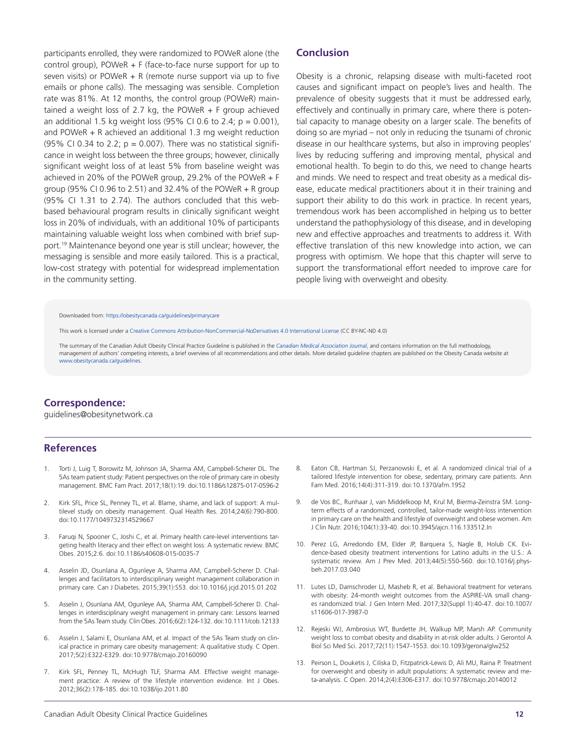participants enrolled, they were randomized to POWeR alone (the control group), POWeR + F (face-to-face nurse support for up to seven visits) or POWeR  $+$  R (remote nurse support via up to five emails or phone calls). The messaging was sensible. Completion rate was 81%. At 12 months, the control group (POWeR) maintained a weight loss of 2.7 kg, the POWeR  $+$  F group achieved an additional 1.5 kg weight loss  $(95\% \text{ CI } 0.6 \text{ to } 2.4; \text{ p} = 0.001)$ , and POWeR + R achieved an additional 1.3 mg weight reduction (95% CI 0.34 to 2.2;  $p = 0.007$ ). There was no statistical significance in weight loss between the three groups; however, clinically significant weight loss of at least 5% from baseline weight was achieved in 20% of the POWeR group, 29.2% of the POWeR + F group (95% CI 0.96 to 2.51) and 32.4% of the POWeR  $+$  R group (95% CI 1.31 to 2.74). The authors concluded that this webbased behavioural program results in clinically significant weight loss in 20% of individuals, with an additional 10% of participants maintaining valuable weight loss when combined with brief support.19 Maintenance beyond one year is still unclear; however, the messaging is sensible and more easily tailored. This is a practical, low-cost strategy with potential for widespread implementation in the community setting. 

#### **Conclusion**

Obesity is a chronic, relapsing disease with multi-faceted root causes and significant impact on people's lives and health. The prevalence of obesity suggests that it must be addressed early, effectively and continually in primary care, where there is potential capacity to manage obesity on a larger scale. The benefits of doing so are myriad – not only in reducing the tsunami of chronic disease in our healthcare systems, but also in improving peoples' lives by reducing suffering and improving mental, physical and emotional health. To begin to do this, we need to change hearts and minds. We need to respect and treat obesity as a medical disease, educate medical practitioners about it in their training and support their ability to do this work in practice. In recent years, tremendous work has been accomplished in helping us to better understand the pathophysiology of this disease, and in developing new and effective approaches and treatments to address it. With effective translation of this new knowledge into action, we can progress with optimism. We hope that this chapter will serve to support the transformational effort needed to improve care for people living with overweight and obesity.

#### Downloaded from: [https://obesitycanada.ca/guidelines/primarycare](https://obesitycanada.ca/guidelines/primarycare/)

This work is licensed under a Creative Commons [Attribution-NonCommercial-NoDerivatives](https://creativecommons.org/licenses/by-nc-nd/4.0/) 4.0 International License (CC BY-NC-ND 4.0)

The summary of the Canadian Adult Obesity Clinical Practice Guideline is published in the *[Canadian Medical Association Journal](https://www.cmaj.ca/content/192/31/E875)*, and contains information on the full methodology, management of authors' competing interests, a brief overview of all recommendations and other details. More detailed guideline chapters are published on the Obesity Canada website at [www.obesitycanada.ca/guidelines.](https://obesitycanada.ca/guidelines/)

## **Correspondence:**

guidelines@obesitynetwork.ca

#### **References**

- 1. Torti J, Luig T, Borowitz M, Johnson JA, Sharma AM, Campbell-Scherer DL. The 5As team patient study: Patient perspectives on the role of primary care in obesity management. BMC Fam Pract. 2017;18(1):19. doi:10.1186/s12875-017-0596-2
- 2. Kirk SFL, Price SL, Penney TL, et al. Blame, shame, and lack of support: A multilevel study on obesity management. Qual Health Res. 2014;24(6):790-800. doi:10.1177/1049732314529667
- 3. Faruqi N, Spooner C, Joshi C, et al. Primary health care-level interventions targeting health literacy and their effect on weight loss: A systematic review. BMC Obes. 2015;2:6. doi:10.1186/s40608-015-0035-7
- 4. Asselin JD, Osunlana A, Ogunleye A, Sharma AM, Campbell-Scherer D. Challenges and facilitators to interdisciplinary weight management collaboration in primary care. Can J Diabetes. 2015;39(1):S53. doi:10.1016/j.jcjd.2015.01.202
- 5. Asselin J, Osunlana AM, Ogunleye AA, Sharma AM, Campbell-Scherer D. Challenges in interdisciplinary weight management in primary care: Lessons learned from the 5As Team study. Clin Obes. 2016;6(2):124-132. doi:10.1111/cob.12133
- 6. Asselin J, Salami E, Osunlana AM, et al. Impact of the 5As Team study on clinical practice in primary care obesity management: A qualitative study. C Open. 2017;5(2):E322-E329. doi:10.9778/cmajo.20160090
- 7. Kirk SFL, Penney TL, McHugh TLF, Sharma AM. Effective weight management practice: A review of the lifestyle intervention evidence. Int J Obes. 2012;36(2):178-185. doi:10.1038/ijo.2011.80
- 8. Eaton CB, Hartman SJ, Perzanowski E, et al. A randomized clinical trial of a tailored lifestyle intervention for obese, sedentary, primary care patients. Ann Fam Med. 2016;14(4):311-319. doi:10.1370/afm.1952
- 9. de Vos BC, Runhaar J, van Middelkoop M, Krul M, Bierma-Zeinstra SM. Longterm effects of a randomized, controlled, tailor-made weight-loss intervention in primary care on the health and lifestyle of overweight and obese women. Am J Clin Nutr. 2016;104(1):33-40. doi:10.3945/ajcn.116.133512.In
- 10. Perez LG, Arredondo EM, Elder JP, Barquera S, Nagle B, Holub CK. Evidence-based obesity treatment interventions for Latino adults in the U.S.: A systematic review. Am J Prev Med. 2013;44(5):550-560. doi:10.1016/j.physbeh.2017.03.040
- 11. Lutes LD, Damschroder LJ, Masheb R, et al. Behavioral treatment for veterans with obesity: 24-month weight outcomes from the ASPIRE-VA small changes randomized trial. J Gen Intern Med. 2017;32(Suppl 1):40-47. doi:10.1007/ s11606-017-3987-0
- 12. Rejeski WJ, Ambrosius WT, Burdette JH, Walkup MP, Marsh AP. Community weight loss to combat obesity and disability in at-risk older adults. J Gerontol A Biol Sci Med Sci. 2017;72(11):1547-1553. doi:10.1093/gerona/glw252
- 13. Peirson L, Douketis J, Ciliska D, Fitzpatrick-Lewis D, Ali MU, Raina P. Treatment for overweight and obesity in adult populations: A systematic review and meta-analysis. C Open. 2014;2(4):E306-E317. doi:10.9778/cmajo.20140012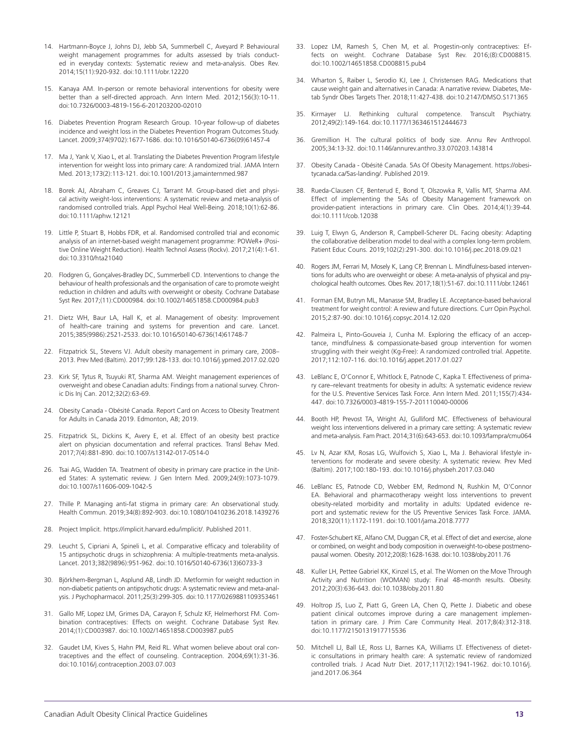- 14. Hartmann-Boyce J, Johns DJ, Jebb SA, Summerbell C, Aveyard P. Behavioural weight management programmes for adults assessed by trials conducted in everyday contexts: Systematic review and meta-analysis. Obes Rev. 2014;15(11):920-932. doi:10.1111/obr.12220
- 15. Kanaya AM. In-person or remote behavioral interventions for obesity were better than a self-directed approach. Ann Intern Med. 2012;156(3):10-11. doi:10.7326/0003-4819-156-6-201203200-02010
- 16. Diabetes Prevention Program Research Group. 10-year follow-up of diabetes incidence and weight loss in the Diabetes Prevention Program Outcomes Study. Lancet. 2009;374(9702):1677-1686. doi:10.1016/S0140-6736(09)61457-4
- 17. Ma J, Yank V, Xiao L, et al. Translating the Diabetes Prevention Program lifestyle intervention for weight loss into primary care: A randomized trial. JAMA Intern Med. 2013;173(2):113-121. doi:10.1001/2013.jamainternmed.987
- 18. Borek AJ, Abraham C, Greaves CJ, Tarrant M. Group-based diet and physical activity weight-loss interventions: A systematic review and meta-analysis of randomised controlled trials. Appl Psychol Heal Well-Being. 2018;10(1):62-86. doi:10.1111/aphw.12121
- 19. Little P, Stuart B, Hobbs FDR, et al. Randomised controlled trial and economic analysis of an internet-based weight management programme: POWeR+ (Positive Online Weight Reduction). Health Technol Assess (Rockv). 2017;21(4):1-61. doi:10.3310/hta21040
- 20. Flodgren G, Gonçalves-Bradley DC, Summerbell CD. Interventions to change the behaviour of health professionals and the organisation of care to promote weight reduction in children and adults with overweight or obesity. Cochrane Database Syst Rev. 2017;(11):CD000984. doi:10.1002/14651858.CD000984.pub3
- 21. Dietz WH, Baur LA, Hall K, et al. Management of obesity: Improvement of health-care training and systems for prevention and care. Lancet. 2015;385(9986):2521-2533. doi:10.1016/S0140-6736(14)61748-7
- 22. Fitzpatrick SL, Stevens VJ. Adult obesity management in primary care, 2008– 2013. Prev Med (Baltim). 2017;99:128-133. doi:10.1016/j.ypmed.2017.02.020
- 23. Kirk SF, Tytus R, Tsuyuki RT, Sharma AM. Weight management experiences of overweight and obese Canadian adults: Findings from a national survey. Chronic Dis Inj Can. 2012;32(2):63-69.
- 24. Obesity Canada Obésité Canada. Report Card on Access to Obesity Treatment for Adults in Canada 2019. Edmonton, AB; 2019.
- 25. Fitzpatrick SL, Dickins K, Avery E, et al. Effect of an obesity best practice alert on physician documentation and referral practices. Transl Behav Med. 2017;7(4):881-890. doi:10.1007/s13142-017-0514-0
- 26. Tsai AG, Wadden TA. Treatment of obesity in primary care practice in the United States: A systematic review. J Gen Intern Med. 2009;24(9):1073-1079. doi:10.1007/s11606-009-1042-5
- 27. Thille P. Managing anti-fat stigma in primary care: An observational study. Health Commun. 2019;34(8):892-903. doi:10.1080/10410236.2018.1439276
- 28. Project Implicit. https://implicit.harvard.edu/implicit/. Published 2011.
- 29. Leucht S, Cipriani A, Spineli L, et al. Comparative efficacy and tolerability of 15 antipsychotic drugs in schizophrenia: A multiple-treatments meta-analysis. Lancet. 2013;382(9896):951-962. doi:10.1016/S0140-6736(13)60733-3
- 30. Björkhem-Bergman L, Asplund AB, Lindh JD. Metformin for weight reduction in non-diabetic patients on antipsychotic drugs: A systematic review and meta-analysis. J Psychopharmacol. 2011;25(3):299-305. doi:10.1177/0269881109353461
- 31. Gallo MF, Lopez LM, Grimes DA, Carayon F, Schulz KF, Helmerhorst FM. Combination contraceptives: Effects on weight. Cochrane Database Syst Rev. 2014;(1):CD003987. doi:10.1002/14651858.CD003987.pub5
- 32. Gaudet LM, Kives S, Hahn PM, Reid RL. What women believe about oral contraceptives and the effect of counseling. Contraception. 2004;69(1):31-36. doi:10.1016/j.contraception.2003.07.003
- 33. Lopez LM, Ramesh S, Chen M, et al. Progestin-only contraceptives: Effects on weight. Cochrane Database Syst Rev. 2016;(8):CD008815. doi:10.1002/14651858.CD008815.pub4
- 34. Wharton S, Raiber L, Serodio KJ, Lee J, Christensen RAG. Medications that cause weight gain and alternatives in Canada: A narrative review. Diabetes, Metab Syndr Obes Targets Ther. 2018;11:427-438. doi:10.2147/DMSO.S171365
- 35. Kirmayer LJ. Rethinking cultural competence. Transcult Psychiatry. 2012;49(2):149-164. doi:10.1177/1363461512444673
- 36. Gremillion H. The cultural politics of body size. Annu Rev Anthropol. 2005;34:13-32. doi:10.1146/annurev.anthro.33.070203.143814
- 37. Obesity Canada Obésité Canada. 5As Of Obesity Management. https://obesitycanada.ca/5as-landing/. Published 2019.
- 38. Rueda-Clausen CF, Benterud E, Bond T, Olszowka R, Vallis MT, Sharma AM. Effect of implementing the 5As of Obesity Management framework on provider-patient interactions in primary care. Clin Obes. 2014;4(1):39-44. doi:10.1111/cob.12038
- 39. Luig T, Elwyn G, Anderson R, Campbell-Scherer DL. Facing obesity: Adapting the collaborative deliberation model to deal with a complex long-term problem. Patient Educ Couns. 2019;102(2):291-300. doi:10.1016/j.pec.2018.09.021
- 40. Rogers JM, Ferrari M, Mosely K, Lang CP, Brennan L. Mindfulness-based interventions for adults who are overweight or obese: A meta-analysis of physical and psychological health outcomes. Obes Rev. 2017;18(1):51-67. doi:10.1111/obr.12461
- 41. Forman EM, Butryn ML, Manasse SM, Bradley LE. Acceptance-based behavioral treatment for weight control: A review and future directions. Curr Opin Psychol. 2015;2:87-90. doi:10.1016/j.copsyc.2014.12.020
- 42. Palmeira L, Pinto-Gouveia J, Cunha M. Exploring the efficacy of an acceptance, mindfulness & compassionate-based group intervention for women struggling with their weight (Kg-Free): A randomized controlled trial. Appetite. 2017;112:107-116. doi:10.1016/j.appet.2017.01.027
- 43. LeBlanc E, O'Connor E, Whitlock E, Patnode C, Kapka T. Effectiveness of primary care–relevant treatments for obesity in adults: A systematic evidence review for the U.S. Preventive Services Task Force. Ann Intern Med. 2011;155(7):434- 447. doi:10.7326/0003-4819-155-7-201110040-00006
- 44. Booth HP, Prevost TA, Wright AJ, Gulliford MC. Effectiveness of behavioural weight loss interventions delivered in a primary care setting: A systematic review and meta-analysis. Fam Pract. 2014;31(6):643-653. doi:10.1093/fampra/cmu064
- 45. Lv N, Azar KM, Rosas LG, Wulfovich S, Xiao L, Ma J. Behavioral lifestyle interventions for moderate and severe obesity: A systematic review. Prev Med (Baltim). 2017;100:180-193. doi:10.1016/j.physbeh.2017.03.040
- 46. LeBlanc ES, Patnode CD, Webber EM, Redmond N, Rushkin M, O'Connor EA. Behavioral and pharmacotherapy weight loss interventions to prevent obesity-related morbidity and mortality in adults: Updated evidence report and systematic review for the US Preventive Services Task Force. JAMA. 2018;320(11):1172-1191. doi:10.1001/jama.2018.7777
- 47. Foster-Schubert KE, Alfano CM, Duggan CR, et al. Effect of diet and exercise, alone or combined, on weight and body composition in overweight-to-obese postmenopausal women. Obesity. 2012;20(8):1628-1638. doi:10.1038/oby.2011.76
- 48. Kuller LH, Pettee Gabriel KK, Kinzel LS, et al. The Women on the Move Through Activity and Nutrition (WOMAN) study: Final 48-month results. Obesity. 2012;20(3):636-643. doi:10.1038/oby.2011.80
- 49. Holtrop JS, Luo Z, Piatt G, Green LA, Chen Q, Piette J. Diabetic and obese patient clinical outcomes improve during a care management implementation in primary care. J Prim Care Community Heal. 2017;8(4):312-318. doi:10.1177/2150131917715536
- 50. Mitchell LJ, Ball LE, Ross LJ, Barnes KA, Williams LT. Effectiveness of dietetic consultations in primary health care: A systematic review of randomized controlled trials. J Acad Nutr Diet. 2017;117(12):1941-1962. doi:10.1016/j. jand.2017.06.364